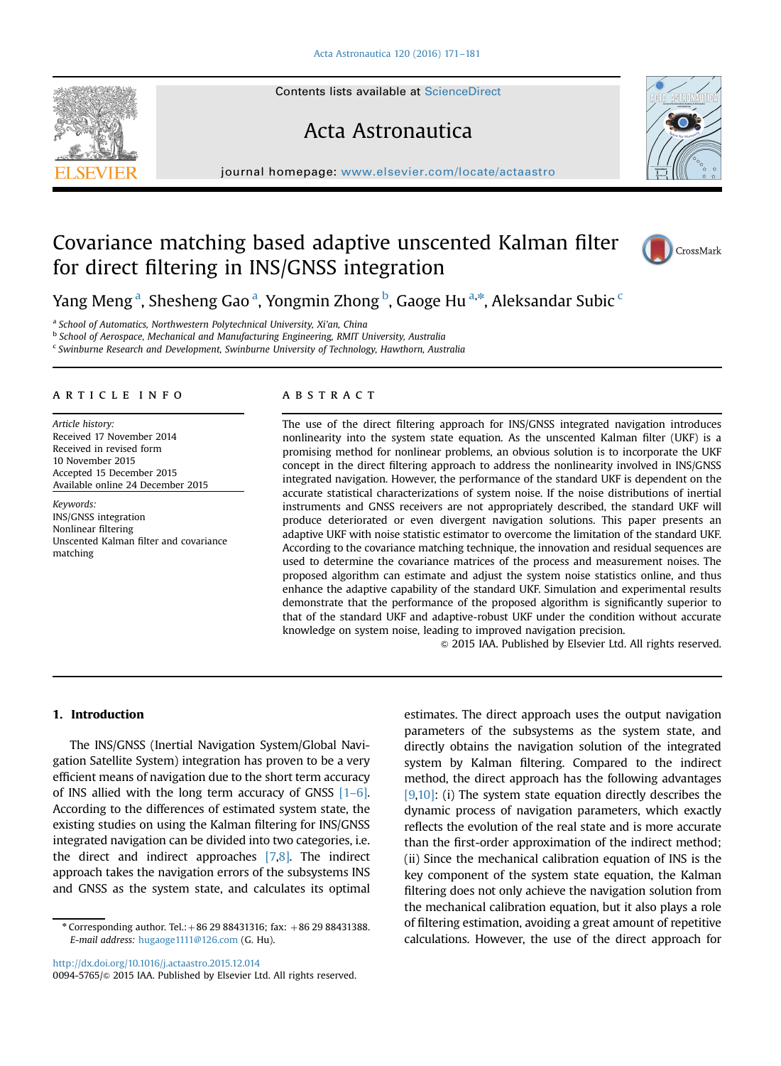## Acta Astronautica

journal homepage: <www.elsevier.com/locate/actaastro>

## Covariance matching based adaptive unscented Kalman filter for direct filtering in INS/GNSS integration



Yang Meng <sup>a</sup>, Shesheng Gao <sup>a</sup>, Yongmin Zhong <sup>b</sup>, Gaoge Hu <sup>a,\*</sup>, Aleksandar Subic <sup>c</sup>

a School of Automatics, Northwestern Polytechnical University, Xi'an, China

b School of Aerospace, Mechanical and Manufacturing Engineering, RMIT University, Australia

<sup>c</sup> Swinburne Research and Development, Swinburne University of Technology, Hawthorn, Australia

#### article info

Article history: Received 17 November 2014 Received in revised form 10 November 2015 Accepted 15 December 2015 Available online 24 December 2015

Keywords: INS/GNSS integration Nonlinear filtering Unscented Kalman filter and covariance matching

#### **ABSTRACT**

The use of the direct filtering approach for INS/GNSS integrated navigation introduces nonlinearity into the system state equation. As the unscented Kalman filter (UKF) is a promising method for nonlinear problems, an obvious solution is to incorporate the UKF concept in the direct filtering approach to address the nonlinearity involved in INS/GNSS integrated navigation. However, the performance of the standard UKF is dependent on the accurate statistical characterizations of system noise. If the noise distributions of inertial instruments and GNSS receivers are not appropriately described, the standard UKF will produce deteriorated or even divergent navigation solutions. This paper presents an adaptive UKF with noise statistic estimator to overcome the limitation of the standard UKF. According to the covariance matching technique, the innovation and residual sequences are used to determine the covariance matrices of the process and measurement noises. The proposed algorithm can estimate and adjust the system noise statistics online, and thus enhance the adaptive capability of the standard UKF. Simulation and experimental results demonstrate that the performance of the proposed algorithm is significantly superior to that of the standard UKF and adaptive-robust UKF under the condition without accurate knowledge on system noise, leading to improved navigation precision.

& 2015 IAA. Published by Elsevier Ltd. All rights reserved.

### 1. Introduction

The INS/GNSS (Inertial Navigation System/Global Navigation Satellite System) integration has proven to be a very efficient means of navigation due to the short term accuracy of INS allied with the long term accuracy of GNSS [1–6]. According to the differences of estimated system state, the existing studies on using the Kalman filtering for INS/GNSS integrated navigation can be divided into two categories, i.e. the direct and indirect approaches [7,8]. The indirect approach takes the navigation errors of the subsystems INS and GNSS as the system state, and calculates its optimal

 $*$  Corresponding author. Tel.: +86 29 88431316; fax: +86 29 88431388. E-mail address: [hugaoge1111@126.com](mailto:hugaoge1111@126.com) (G. Hu).

<http://dx.doi.org/10.1016/j.actaastro.2015.12.014>

estimates. The direct approach uses the output navigation parameters of the subsystems as the system state, and directly obtains the navigation solution of the integrated system by Kalman filtering. Compared to the indirect method, the direct approach has the following advantages [9,10]: (i) The system state equation directly describes the dynamic process of navigation parameters, which exactly reflects the evolution of the real state and is more accurate than the first-order approximation of the indirect method; (ii) Since the mechanical calibration equation of INS is the key component of the system state equation, the Kalman filtering does not only achieve the navigation solution from the mechanical calibration equation, but it also plays a role of filtering estimation, avoiding a great amount of repetitive calculations. However, the use of the direct approach for



<sup>0094-5765/@ 2015</sup> IAA. Published by Elsevier Ltd. All rights reserved.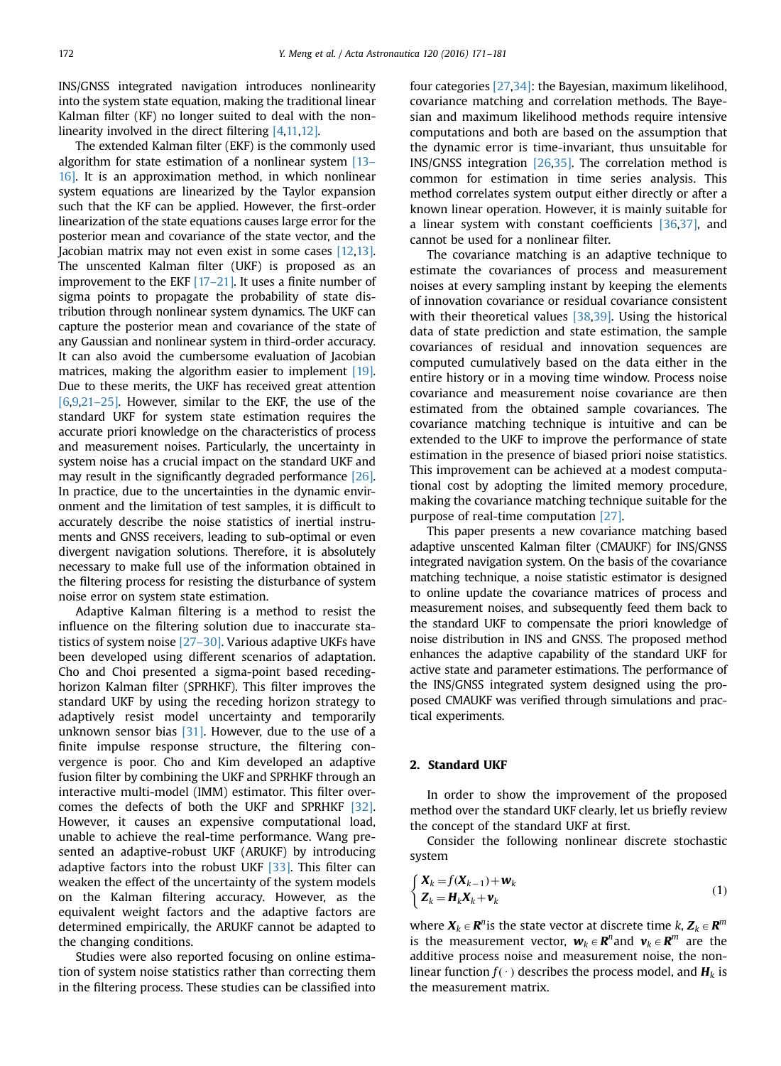INS/GNSS integrated navigation introduces nonlinearity into the system state equation, making the traditional linear Kalman filter (KF) no longer suited to deal with the nonlinearity involved in the direct filtering [4,11,12].

The extended Kalman filter (EKF) is the commonly used algorithm for state estimation of a nonlinear system [13– 16]. It is an approximation method, in which nonlinear system equations are linearized by the Taylor expansion such that the KF can be applied. However, the first-order linearization of the state equations causes large error for the posterior mean and covariance of the state vector, and the Jacobian matrix may not even exist in some cases [12,13]. The unscented Kalman filter (UKF) is proposed as an improvement to the EKF [17–21]. It uses a finite number of sigma points to propagate the probability of state distribution through nonlinear system dynamics. The UKF can capture the posterior mean and covariance of the state of any Gaussian and nonlinear system in third-order accuracy. It can also avoid the cumbersome evaluation of Jacobian matrices, making the algorithm easier to implement [19]. Due to these merits, the UKF has received great attention [6,9,21–25]. However, similar to the EKF, the use of the standard UKF for system state estimation requires the accurate priori knowledge on the characteristics of process and measurement noises. Particularly, the uncertainty in system noise has a crucial impact on the standard UKF and may result in the significantly degraded performance [26]. In practice, due to the uncertainties in the dynamic environment and the limitation of test samples, it is difficult to accurately describe the noise statistics of inertial instruments and GNSS receivers, leading to sub-optimal or even divergent navigation solutions. Therefore, it is absolutely necessary to make full use of the information obtained in the filtering process for resisting the disturbance of system noise error on system state estimation.

Adaptive Kalman filtering is a method to resist the influence on the filtering solution due to inaccurate statistics of system noise [27–30]. Various adaptive UKFs have been developed using different scenarios of adaptation. Cho and Choi presented a sigma-point based recedinghorizon Kalman filter (SPRHKF). This filter improves the standard UKF by using the receding horizon strategy to adaptively resist model uncertainty and temporarily unknown sensor bias [31]. However, due to the use of a finite impulse response structure, the filtering convergence is poor. Cho and Kim developed an adaptive fusion filter by combining the UKF and SPRHKF through an interactive multi-model (IMM) estimator. This filter overcomes the defects of both the UKF and SPRHKF [32]. However, it causes an expensive computational load, unable to achieve the real-time performance. Wang presented an adaptive-robust UKF (ARUKF) by introducing adaptive factors into the robust UKF [33]. This filter can weaken the effect of the uncertainty of the system models on the Kalman filtering accuracy. However, as the equivalent weight factors and the adaptive factors are determined empirically, the ARUKF cannot be adapted to the changing conditions.

Studies were also reported focusing on online estimation of system noise statistics rather than correcting them in the filtering process. These studies can be classified into

four categories [27,34]: the Bayesian, maximum likelihood, covariance matching and correlation methods. The Bayesian and maximum likelihood methods require intensive computations and both are based on the assumption that the dynamic error is time-invariant, thus unsuitable for INS/GNSS integration [26,35]. The correlation method is common for estimation in time series analysis. This method correlates system output either directly or after a known linear operation. However, it is mainly suitable for a linear system with constant coefficients [36,37], and cannot be used for a nonlinear filter.

The covariance matching is an adaptive technique to estimate the covariances of process and measurement noises at every sampling instant by keeping the elements of innovation covariance or residual covariance consistent with their theoretical values [38,39]. Using the historical data of state prediction and state estimation, the sample covariances of residual and innovation sequences are computed cumulatively based on the data either in the entire history or in a moving time window. Process noise covariance and measurement noise covariance are then estimated from the obtained sample covariances. The covariance matching technique is intuitive and can be extended to the UKF to improve the performance of state estimation in the presence of biased priori noise statistics. This improvement can be achieved at a modest computational cost by adopting the limited memory procedure, making the covariance matching technique suitable for the purpose of real-time computation [27].

This paper presents a new covariance matching based adaptive unscented Kalman filter (CMAUKF) for INS/GNSS integrated navigation system. On the basis of the covariance matching technique, a noise statistic estimator is designed to online update the covariance matrices of process and measurement noises, and subsequently feed them back to the standard UKF to compensate the priori knowledge of noise distribution in INS and GNSS. The proposed method enhances the adaptive capability of the standard UKF for active state and parameter estimations. The performance of the INS/GNSS integrated system designed using the proposed CMAUKF was verified through simulations and practical experiments.

#### 2. Standard UKF

In order to show the improvement of the proposed method over the standard UKF clearly, let us briefly review the concept of the standard UKF at first.

Consider the following nonlinear discrete stochastic system

$$
\begin{cases} \mathbf{X}_k = f(\mathbf{X}_{k-1}) + \mathbf{w}_k \\ \mathbf{Z}_k = \mathbf{H}_k \mathbf{X}_k + \mathbf{v}_k \end{cases}
$$
 (1)

where  $X_k \in \mathbb{R}^n$  is the state vector at discrete time k,  $Z_k \in \mathbb{R}^m$ is the measurement vector,  $w_k \in \mathbb{R}^n$  and  $v_k \in \mathbb{R}^m$  are the additive process noise and measurement noise, the nonlinear function  $f(\cdot)$  describes the process model, and  $H_k$  is the measurement matrix.